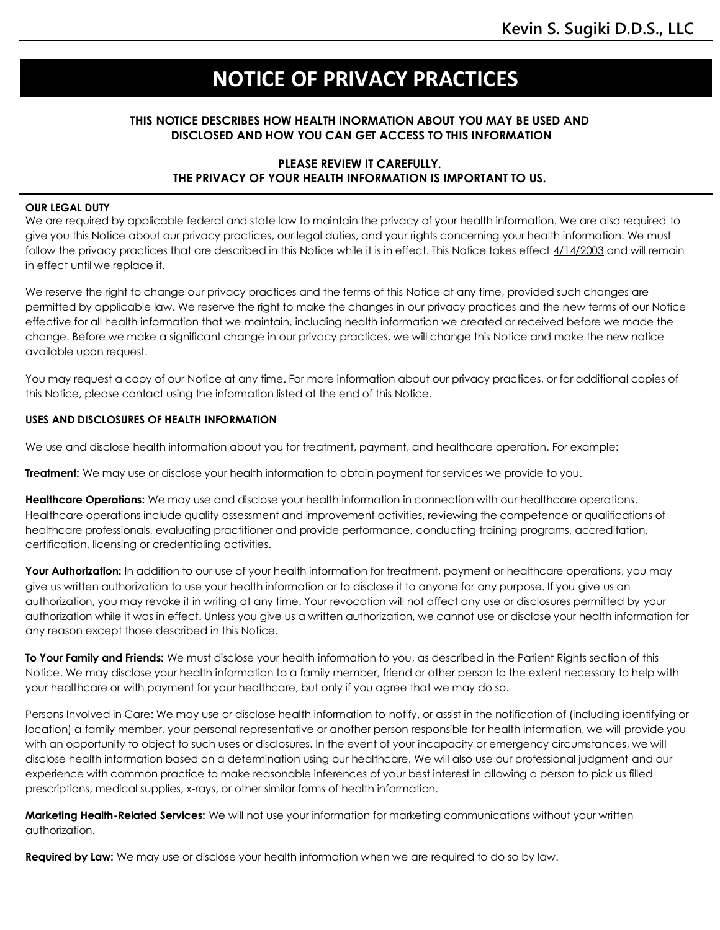# **NOTICE OF PRIVACY PRACTICES**

## **THIS NOTICE DESCRIBES HOW HEALTH INORMATION ABOUT YOU MAY BE USED AND DISCLOSED AND HOW YOU CAN GET ACCESS TO THIS INFORMATION**

### **PLEASE REVIEW IT CAREFULLY. THE PRIVACY OF YOUR HEALTH INFORMATION IS IMPORTANT TO US.**

#### **OUR LEGAL DUTY**

We are required by applicable federal and state law to maintain the privacy of your health information. We are also required to give you this Notice about our privacy practices, our legal duties, and your rights concerning your health information. We must follow the privacy practices that are described in this Notice while it is in effect. This Notice takes effect 4/14/2003 and will remain in effect until we replace it.

We reserve the right to change our privacy practices and the terms of this Notice at any time, provided such changes are permitted by applicable law. We reserve the right to make the changes in our privacy practices and the new terms of our Notice effective for all health information that we maintain, including health information we created or received before we made the change. Before we make a significant change in our privacy practices, we will change this Notice and make the new notice available upon request.

You may request a copy of our Notice at any time. For more information about our privacy practices, or for additional copies of this Notice, please contact using the information listed at the end of this Notice.

#### **USES AND DISCLOSURES OF HEALTH INFORMATION**

We use and disclose health information about you for treatment, payment, and healthcare operation. For example:

**Treatment:** We may use or disclose your health information to obtain payment for services we provide to you.

**Healthcare Operations:** We may use and disclose your health information in connection with our healthcare operations. Healthcare operations include quality assessment and improvement activities, reviewing the competence or qualifications of healthcare professionals, evaluating practitioner and provide performance, conducting training programs, accreditation, certification, licensing or credentialing activities.

Your Authorization: In addition to our use of your health information for treatment, payment or healthcare operations, you may give us written authorization to use your health information or to disclose it to anyone for any purpose. If you give us an authorization, you may revoke it in writing at any time. Your revocation will not affect any use or disclosures permitted by your authorization while it was in effect. Unless you give us a written authorization, we cannot use or disclose your health information for any reason except those described in this Notice.

**To Your Family and Friends:** We must disclose your health information to you, as described in the Patient Rights section of this Notice. We may disclose your health information to a family member, friend or other person to the extent necessary to help with your healthcare or with payment for your healthcare, but only if you agree that we may do so.

Persons Involved in Care: We may use or disclose health information to notify, or assist in the notification of (including identifying or location) a family member, your personal representative or another person responsible for health information, we will provide you with an opportunity to object to such uses or disclosures. In the event of your incapacity or emergency circumstances, we will disclose health information based on a determination using our healthcare. We will also use our professional judgment and our experience with common practice to make reasonable inferences of your best interest in allowing a person to pick us filled prescriptions, medical supplies, x-rays, or other similar forms of health information.

**Marketing Health-Related Services:** We will not use your information for marketing communications without your written authorization.

**Required by Law:** We may use or disclose your health information when we are required to do so by law.